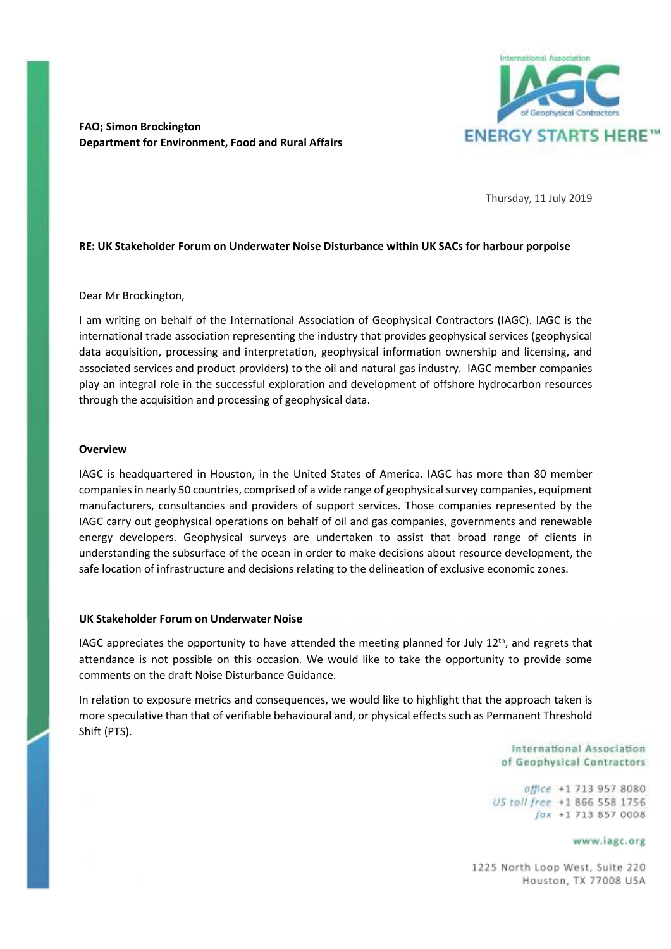

**FAO; Simon Brockington Department for Environment, Food and Rural Affairs** 

Thursday, 11 July 2019

## **RE: UK Stakeholder Forum on Underwater Noise Disturbance within UK SACs for harbour porpoise**

Dear Mr Brockington,

I am writing on behalf of the International Association of Geophysical Contractors (IAGC). IAGC is the international trade association representing the industry that provides geophysical services (geophysical data acquisition, processing and interpretation, geophysical information ownership and licensing, and associated services and product providers) to the oil and natural gas industry. IAGC member companies play an integral role in the successful exploration and development of offshore hydrocarbon resources through the acquisition and processing of geophysical data.

## **Overview**

IAGC is headquartered in Houston, in the United States of America. IAGC has more than 80 member companies in nearly 50 countries, comprised of a wide range of geophysical survey companies, equipment manufacturers, consultancies and providers of support services. Those companies represented by the IAGC carry out geophysical operations on behalf of oil and gas companies, governments and renewable energy developers. Geophysical surveys are undertaken to assist that broad range of clients in understanding the subsurface of the ocean in order to make decisions about resource development, the safe location of infrastructure and decisions relating to the delineation of exclusive economic zones.

## **UK Stakeholder Forum on Underwater Noise**

IAGC appreciates the opportunity to have attended the meeting planned for July  $12<sup>th</sup>$ , and regrets that attendance is not possible on this occasion. We would like to take the opportunity to provide some comments on the draft Noise Disturbance Guidance.

In relation to exposure metrics and consequences, we would like to highlight that the approach taken is more speculative than that of verifiable behavioural and, or physical effects such as Permanent Threshold Shift (PTS).

> International Association of Geophysical Contractors

office +1 713 957 8080 US toll free +1 866 558 1756  $fax + 17138570008$ 

www.iagc.org

1225 North Loop West, Suite 220 Houston, TX 77008 USA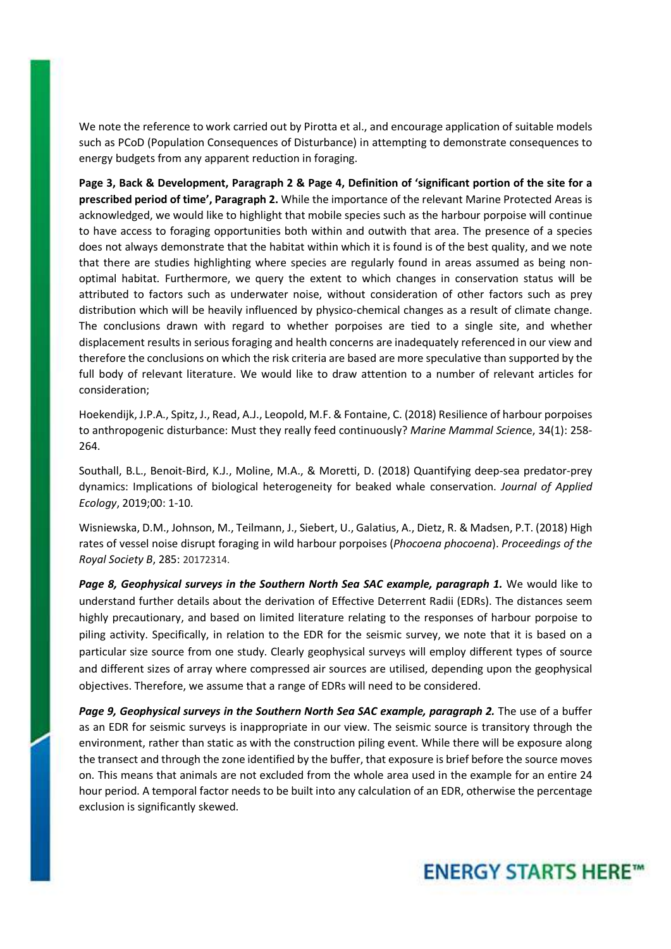We note the reference to work carried out by Pirotta et al., and encourage application of suitable models such as PCoD (Population Consequences of Disturbance) in attempting to demonstrate consequences to energy budgets from any apparent reduction in foraging.

**Page 3, Back & Development, Paragraph 2 & Page 4, Definition of 'significant portion of the site for a prescribed period of time', Paragraph 2.** While the importance of the relevant Marine Protected Areas is acknowledged, we would like to highlight that mobile species such as the harbour porpoise will continue to have access to foraging opportunities both within and outwith that area. The presence of a species does not always demonstrate that the habitat within which it is found is of the best quality, and we note that there are studies highlighting where species are regularly found in areas assumed as being nonoptimal habitat. Furthermore, we query the extent to which changes in conservation status will be attributed to factors such as underwater noise, without consideration of other factors such as prey distribution which will be heavily influenced by physico-chemical changes as a result of climate change. The conclusions drawn with regard to whether porpoises are tied to a single site, and whether displacement results in serious foraging and health concerns are inadequately referenced in our view and therefore the conclusions on which the risk criteria are based are more speculative than supported by the full body of relevant literature. We would like to draw attention to a number of relevant articles for consideration;

Hoekendijk, J.P.A., Spitz, J., Read, A.J., Leopold, M.F. & Fontaine, C. (2018) Resilience of harbour porpoises to anthropogenic disturbance: Must they really feed continuously? *Marine Mammal Scien*ce, 34(1): 258- 264.

Southall, B.L., Benoit-Bird, K.J., Moline, M.A., & Moretti, D. (2018) Quantifying deep-sea predator-prey dynamics: Implications of biological heterogeneity for beaked whale conservation. *Journal of Applied Ecology*, 2019;00: 1-10.

Wisniewska, D.M., Johnson, M., Teilmann, J., Siebert, U., Galatius, A., Dietz, R. & Madsen, P.T. (2018) High rates of vessel noise disrupt foraging in wild harbour porpoises (*Phocoena phocoena*). *Proceedings of the Royal Society B*, 285: 20172314.

*Page 8, Geophysical surveys in the Southern North Sea SAC example, paragraph 1.* We would like to understand further details about the derivation of Effective Deterrent Radii (EDRs). The distances seem highly precautionary, and based on limited literature relating to the responses of harbour porpoise to piling activity. Specifically, in relation to the EDR for the seismic survey, we note that it is based on a particular size source from one study. Clearly geophysical surveys will employ different types of source and different sizes of array where compressed air sources are utilised, depending upon the geophysical objectives. Therefore, we assume that a range of EDRs will need to be considered.

*Page 9, Geophysical surveys in the Southern North Sea SAC example, paragraph 2.* The use of a buffer as an EDR for seismic surveys is inappropriate in our view. The seismic source is transitory through the environment, rather than static as with the construction piling event. While there will be exposure along the transect and through the zone identified by the buffer, that exposure is brief before the source moves on. This means that animals are not excluded from the whole area used in the example for an entire 24 hour period. A temporal factor needs to be built into any calculation of an EDR, otherwise the percentage exclusion is significantly skewed.